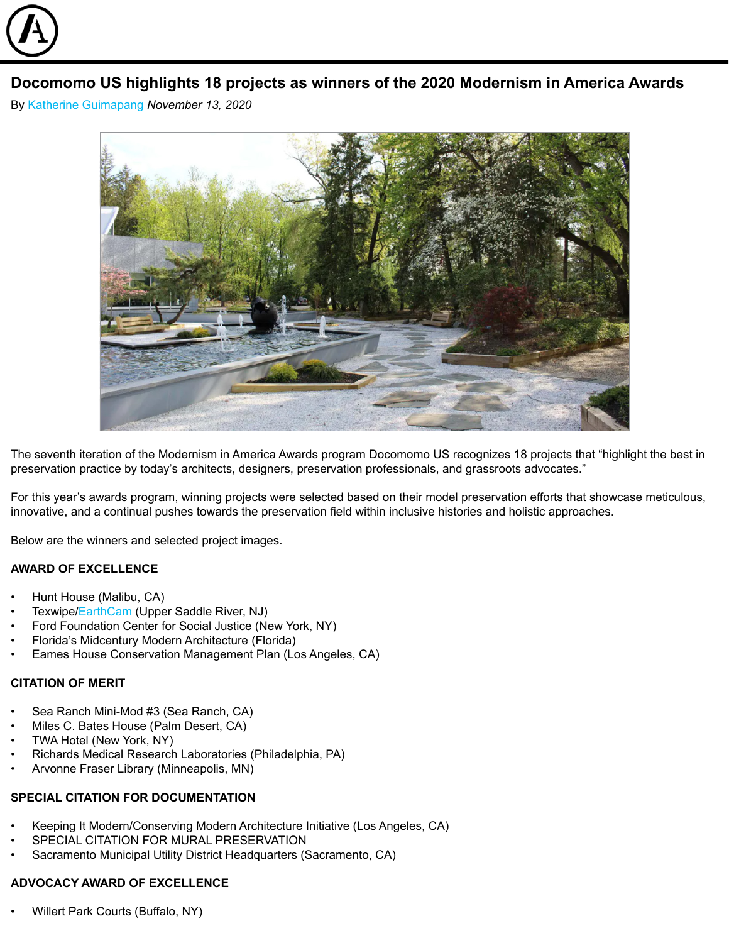

# **Docomomo US highlights 18 projects as winners of the 2020 Modernism in America Awards**

By [Katherine Guimapang](https://archinect.com/katherineguimapang) *November 13, 2020*



The seventh iteration of the Modernism in America Awards program Docomomo US recognizes 18 projects that "highlight the best in preservation practice by today's architects, designers, preservation professionals, and grassroots advocates."

For this year's awards program, winning projects were selected based on their model preservation efforts that showcase meticulous, innovative, and a continual pushes towards the preservation field within inclusive histories and holistic approaches.

Below are the winners and selected project images.

#### **AWARD OF EXCELLENCE**

- Hunt House (Malibu, CA)
- Texwipe/[EarthCam](https://www.earthcam.net/) (Upper Saddle River, NJ)
- Ford Foundation Center for Social Justice (New York, NY)
- Florida's Midcentury Modern Architecture (Florida)
- Eames House Conservation Management Plan (Los Angeles, CA)

# **CITATION OF MERIT**

- Sea Ranch Mini-Mod #3 (Sea Ranch, CA)
- Miles C. Bates House (Palm Desert, CA)
- TWA Hotel (New York, NY)
- Richards Medical Research Laboratories (Philadelphia, PA)
- Arvonne Fraser Library (Minneapolis, MN)

#### **SPECIAL CITATION FOR DOCUMENTATION**

- Keeping It Modern/Conserving Modern Architecture Initiative (Los Angeles, CA)
- SPECIAL CITATION FOR MURAL PRESERVATION
- Sacramento Municipal Utility District Headquarters (Sacramento, CA)

# **ADVOCACY AWARD OF EXCELLENCE**

• Willert Park Courts (Buffalo, NY)